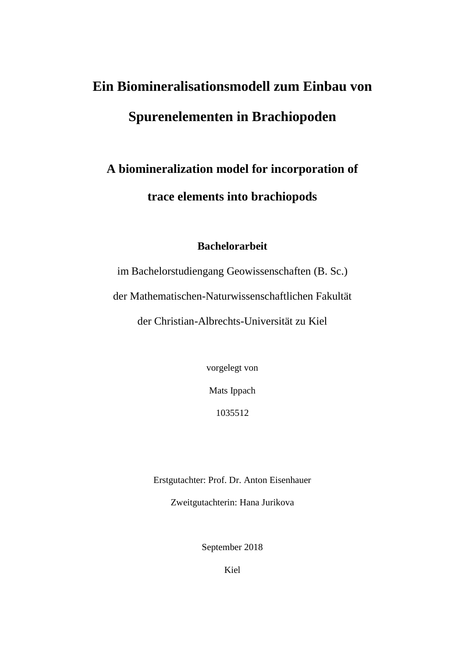# **Ein Biomineralisationsmodell zum Einbau von Spurenelementen in Brachiopoden**

## **A biomineralization model for incorporation of trace elements into brachiopods**

#### **Bachelorarbeit**

im Bachelorstudiengang Geowissenschaften (B. Sc.) der Mathematischen-Naturwissenschaftlichen Fakultät der Christian-Albrechts-Universität zu Kiel

vorgelegt von

Mats Ippach

1035512

Erstgutachter: Prof. Dr. Anton Eisenhauer

Zweitgutachterin: Hana Jurikova

September 2018

Kiel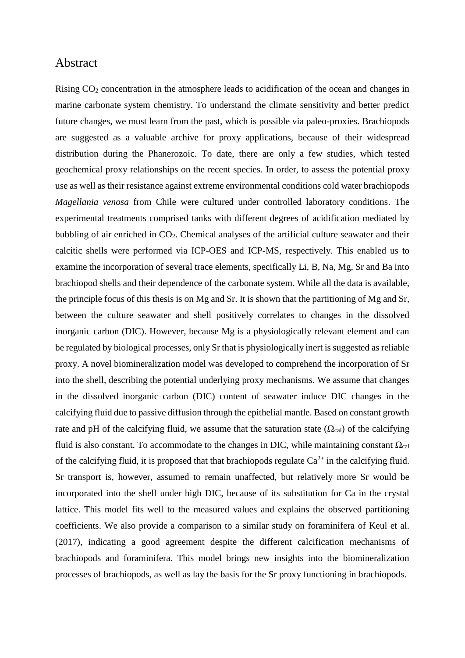#### Abstract

Rising CO<sup>2</sup> concentration in the atmosphere leads to acidification of the ocean and changes in marine carbonate system chemistry. To understand the climate sensitivity and better predict future changes, we must learn from the past, which is possible via paleo-proxies. Brachiopods are suggested as a valuable archive for proxy applications, because of their widespread distribution during the Phanerozoic. To date, there are only a few studies, which tested geochemical proxy relationships on the recent species. In order, to assess the potential proxy use as well as their resistance against extreme environmental conditions cold water brachiopods *Magellania venosa* from Chile were cultured under controlled laboratory conditions. The experimental treatments comprised tanks with different degrees of acidification mediated by bubbling of air enriched in CO2. Chemical analyses of the artificial culture seawater and their calcitic shells were performed via ICP-OES and ICP-MS, respectively. This enabled us to examine the incorporation of several trace elements, specifically Li, B, Na, Mg, Sr and Ba into brachiopod shells and their dependence of the carbonate system. While all the data is available, the principle focus of this thesis is on Mg and Sr. It is shown that the partitioning of Mg and Sr, between the culture seawater and shell positively correlates to changes in the dissolved inorganic carbon (DIC). However, because Mg is a physiologically relevant element and can be regulated by biological processes, only Sr that is physiologically inert is suggested as reliable proxy. A novel biomineralization model was developed to comprehend the incorporation of Sr into the shell, describing the potential underlying proxy mechanisms. We assume that changes in the dissolved inorganic carbon (DIC) content of seawater induce DIC changes in the calcifying fluid due to passive diffusion through the epithelial mantle. Based on constant growth rate and pH of the calcifying fluid, we assume that the saturation state  $(\Omega_{cal})$  of the calcifying fluid is also constant. To accommodate to the changes in DIC, while maintaining constant  $\Omega_{cal}$ of the calcifying fluid, it is proposed that that brachiopods regulate  $Ca^{2+}$  in the calcifying fluid. Sr transport is, however, assumed to remain unaffected, but relatively more Sr would be incorporated into the shell under high DIC, because of its substitution for Ca in the crystal lattice. This model fits well to the measured values and explains the observed partitioning coefficients. We also provide a comparison to a similar study on foraminifera of Keul et al. (2017), indicating a good agreement despite the different calcification mechanisms of brachiopods and foraminifera. This model brings new insights into the biomineralization processes of brachiopods, as well as lay the basis for the Sr proxy functioning in brachiopods.